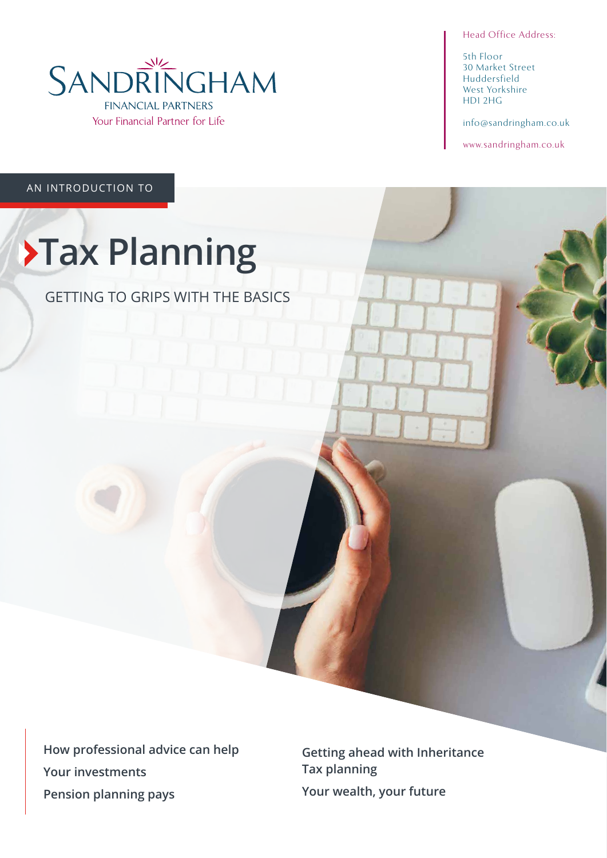Head Office Address:

5th Floor 30 Market Street Huddersfield West Yorkshire HD1 2HG

info@sandringham.co.uk

www.sandringham.co.uk

AN INTRODUCTION TO

# **XTax Planning**

GETTING TO GRIPS WITH THE BASICS

**How professional advice can help Your investments Pension planning pays**

**Getting ahead with Inheritance Tax planning Your wealth, your future**

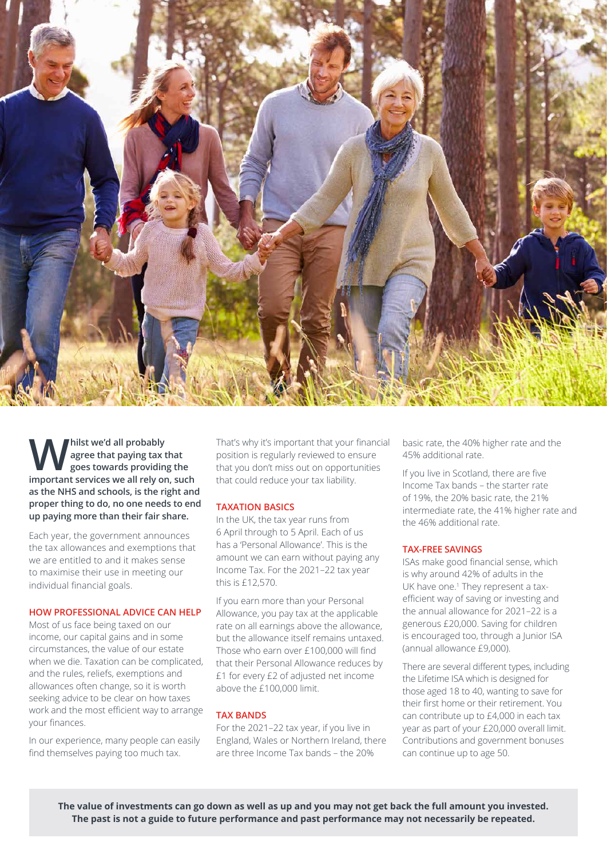

**W** hilst we'd all probably<br>goes towards providing the<br>important songices we all rely on such **agree that paying tax that important services we all rely on, such as the NHS and schools, is the right and proper thing to do, no one needs to end up paying more than their fair share.** 

Each year, the government announces the tax allowances and exemptions that we are entitled to and it makes sense to maximise their use in meeting our individual financial goals.

#### **HOW PROFESSIONAL ADVICE CAN HELP**

Most of us face being taxed on our income, our capital gains and in some circumstances, the value of our estate when we die. Taxation can be complicated, and the rules, reliefs, exemptions and allowances often change, so it is worth seeking advice to be clear on how taxes work and the most efficient way to arrange your finances.

In our experience, many people can easily find themselves paying too much tax.

That's why it's important that your financial position is regularly reviewed to ensure that you don't miss out on opportunities that could reduce your tax liability.

#### **TAXATION BASICS**

In the UK, the tax year runs from 6 April through to 5 April. Each of us has a 'Personal Allowance'. This is the amount we can earn without paying any Income Tax. For the 2021–22 tax year this is £12,570.

If you earn more than your Personal Allowance, you pay tax at the applicable rate on all earnings above the allowance, but the allowance itself remains untaxed. Those who earn over £100,000 will find that their Personal Allowance reduces by £1 for every £2 of adjusted net income above the £100,000 limit.

#### **TAX BANDS**

For the 2021–22 tax year, if you live in England, Wales or Northern Ireland, there are three Income Tax bands – the 20%

basic rate, the 40% higher rate and the 45% additional rate.

If you live in Scotland, there are five Income Tax bands – the starter rate of 19%, the 20% basic rate, the 21% intermediate rate, the 41% higher rate and the 46% additional rate.

#### **TAX-FREE SAVINGS**

ISAs make good financial sense, which is why around 42% of adults in the UK have one.<sup>1</sup> They represent a taxefficient way of saving or investing and the annual allowance for 2021–22 is a generous £20,000. Saving for children is encouraged too, through a Junior ISA (annual allowance £9,000).

There are several different types, including the Lifetime ISA which is designed for those aged 18 to 40, wanting to save for their first home or their retirement. You can contribute up to £4,000 in each tax year as part of your £20,000 overall limit. Contributions and government bonuses can continue up to age 50.

**The value of investments can go down as well as up and you may not get back the full amount you invested. The past is not a guide to future performance and past performance may not necessarily be repeated.**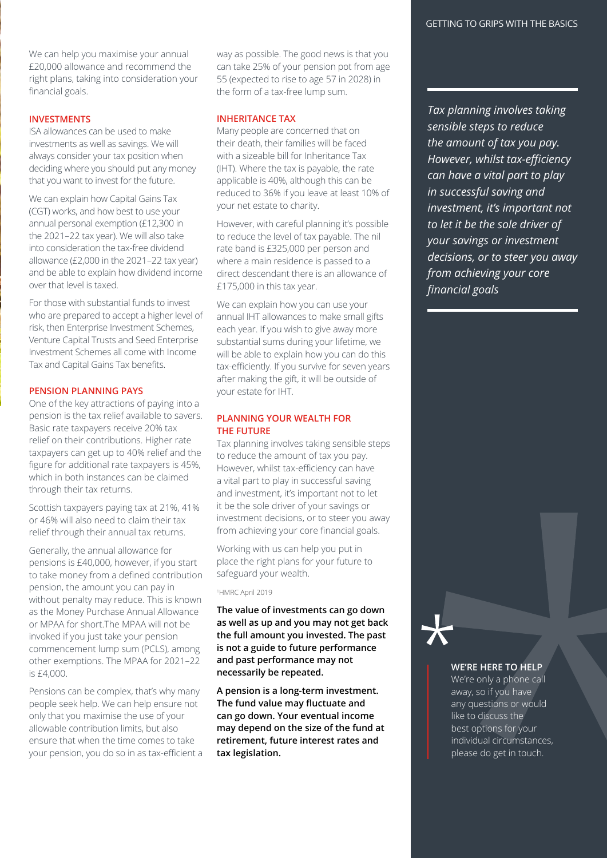We can help you maximise your annual £20,000 allowance and recommend the right plans, taking into consideration your financial goals.

# **INVESTMENTS**

ISA allowances can be used to make investments as well as savings. We will always consider your tax position when deciding where you should put any money that you want to invest for the future.

We can explain how Capital Gains Tax (CGT) works, and how best to use your annual personal exemption (£12,300 in the 2021–22 tax year). We will also take into consideration the tax-free dividend allowance (£2,000 in the 2021–22 tax year) and be able to explain how dividend income over that level is taxed.

For those with substantial funds to invest who are prepared to accept a higher level of risk, then Enterprise Investment Schemes, Venture Capital Trusts and Seed Enterprise Investment Schemes all come with Income Tax and Capital Gains Tax benefits.

#### **PENSION PLANNING PAYS**

One of the key attractions of paying into a pension is the tax relief available to savers. Basic rate taxpayers receive 20% tax relief on their contributions. Higher rate taxpayers can get up to 40% relief and the figure for additional rate taxpayers is 45%, which in both instances can be claimed through their tax returns.

Scottish taxpayers paying tax at 21%, 41% or 46% will also need to claim their tax relief through their annual tax returns.

Generally, the annual allowance for pensions is £40,000, however, if you start to take money from a defined contribution pension, the amount you can pay in without penalty may reduce. This is known as the Money Purchase Annual Allowance or MPAA for short.The MPAA will not be invoked if you just take your pension commencement lump sum (PCLS), among other exemptions. The MPAA for 2021–22 is £4,000.

Pensions can be complex, that's why many people seek help. We can help ensure not only that you maximise the use of your allowable contribution limits, but also ensure that when the time comes to take your pension, you do so in as tax-efficient a way as possible. The good news is that you can take 25% of your pension pot from age 55 (expected to rise to age 57 in 2028) in the form of a tax-free lump sum.

## **INHERITANCE TAX**

Many people are concerned that on their death, their families will be faced with a sizeable bill for Inheritance Tax (IHT). Where the tax is payable, the rate applicable is 40%, although this can be reduced to 36% if you leave at least 10% of your net estate to charity.

However, with careful planning it's possible to reduce the level of tax payable. The nil rate band is £325,000 per person and where a main residence is passed to a direct descendant there is an allowance of £175,000 in this tax year.

We can explain how you can use your annual IHT allowances to make small gifts each year. If you wish to give away more substantial sums during your lifetime, we will be able to explain how you can do this tax-efficiently. If you survive for seven years after making the gift, it will be outside of your estate for IHT.

## **PLANNING YOUR WEALTH FOR THE FUTURE**

Tax planning involves taking sensible steps to reduce the amount of tax you pay. However, whilst tax-efficiency can have a vital part to play in successful saving and investment, it's important not to let it be the sole driver of your savings or investment decisions, or to steer you away from achieving your core financial goals.

Working with us can help you put in place the right plans for your future to safeguard your wealth.

1 HMRC April 2019

**The value of investments can go down as well as up and you may not get back the full amount you invested. The past is not a guide to future performance and past performance may not necessarily be repeated.**

**A pension is a long-term investment. The fund value may fluctuate and can go down. Your eventual income may depend on the size of the fund at retirement, future interest rates and tax legislation.**

*Tax planning involves taking sensible steps to reduce the amount of tax you pay. However, whilst tax-efficiency can have a vital part to play in successful saving and investment, it's important not to let it be the sole driver of your savings or investment decisions, or to steer you away from achieving your core financial goals*

#### **WE'RE HERE TO HELP**

We're only a phone call away, so if you have any questions or would like to discuss the best options for your individual circumstances, please do get in touch.